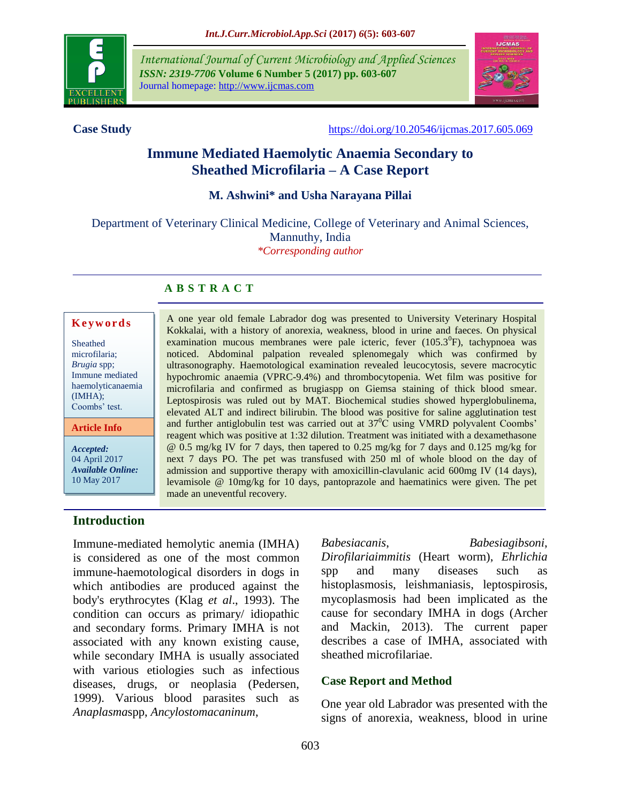

*International Journal of Current Microbiology and Applied Sciences ISSN: 2319-7706* **Volume 6 Number 5 (2017) pp. 603-607** Journal homepage: http://www.ijcmas.com



**Case Study** <https://doi.org/10.20546/ijcmas.2017.605.069>

# **Immune Mediated Haemolytic Anaemia Secondary to Sheathed Microfilaria – A Case Report**

#### **M. Ashwini\* and Usha Narayana Pillai**

Department of Veterinary Clinical Medicine, College of Veterinary and Animal Sciences, Mannuthy, India *\*Corresponding author*

#### **A B S T R A C T**

#### **K e y w o r d s**

| Sheathed          |
|-------------------|
| microfilaria;     |
| Brugia spp;       |
| Immune mediated   |
| haemolyticanaemia |
| (IMHA);           |
| Coombs' test.     |
|                   |

**Article Info**

*Accepted:*  04 April 2017 *Available Online:* 10 May 2017

A one year old female Labrador dog was presented to University Veterinary Hospital Kokkalai, with a history of anorexia, weakness, blood in urine and faeces. On physical examination mucous membranes were pale icteric, fever  $(105.3^{\circ}F)$ , tachypnoea was noticed. Abdominal palpation revealed splenomegaly which was confirmed by ultrasonography. Haemotological examination revealed leucocytosis, severe macrocytic hypochromic anaemia (VPRC-9.4%) and thrombocytopenia. Wet film was positive for microfilaria and confirmed as brugiaspp on Giemsa staining of thick blood smear. Leptospirosis was ruled out by MAT. Biochemical studies showed hyperglobulinema, elevated ALT and indirect bilirubin. The blood was positive for saline agglutination test and further antiglobulin test was carried out at  $37^{\circ}C$  using VMRD polyvalent Coombs' reagent which was positive at 1:32 dilution. Treatment was initiated with a dexamethasone @ 0.5 mg/kg IV for 7 days, then tapered to 0.25 mg/kg for 7 days and 0.125 mg/kg for next 7 days PO. The pet was transfused with 250 ml of whole blood on the day of admission and supportive therapy with amoxicillin-clavulanic acid 600mg IV (14 days), levamisole @ 10mg/kg for 10 days, pantoprazole and haematinics were given. The pet made an uneventful recovery.

## **Introduction**

Immune-mediated hemolytic anemia (IMHA) is considered as one of the most common immune-haemotological disorders in dogs in which antibodies are produced against the body's erythrocytes (Klag *et al*., 1993). The condition can occurs as primary/ idiopathic and secondary forms. Primary IMHA is not associated with any known existing cause, while secondary IMHA is usually associated with various etiologies such as infectious diseases, drugs, or neoplasia (Pedersen, 1999). Various blood parasites such as *Anaplasma*spp, *Ancylostomacaninum*,

*Babesiacanis*, *Babesiagibsoni*, *Dirofilariaimmitis* (Heart worm), *Ehrlichia* spp and many diseases such as histoplasmosis, leishmaniasis, leptospirosis, mycoplasmosis had been implicated as the cause for secondary IMHA in dogs (Archer and Mackin, 2013). The current paper describes a case of IMHA, associated with sheathed microfilariae.

## **Case Report and Method**

One year old Labrador was presented with the signs of anorexia, weakness, blood in urine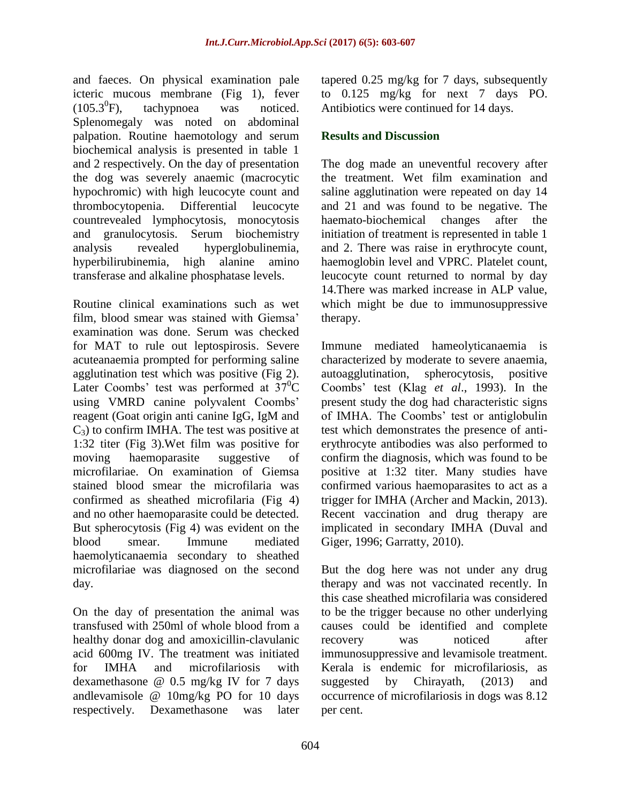and faeces. On physical examination pale icteric mucous membrane (Fig 1), fever  $(105.3^{0}F)$ . tachypnoea was noticed. Splenomegaly was noted on abdominal palpation. Routine haemotology and serum biochemical analysis is presented in table 1 and 2 respectively. On the day of presentation the dog was severely anaemic (macrocytic hypochromic) with high leucocyte count and thrombocytopenia. Differential leucocyte countrevealed lymphocytosis, monocytosis and granulocytosis. Serum biochemistry analysis revealed hyperglobulinemia, hyperbilirubinemia, high alanine amino transferase and alkaline phosphatase levels.

Routine clinical examinations such as wet film, blood smear was stained with Giemsa' examination was done. Serum was checked for MAT to rule out leptospirosis. Severe acuteanaemia prompted for performing saline agglutination test which was positive (Fig 2). Later Coombs' test was performed at  $37^0C$ using VMRD canine polyvalent Coombs' reagent (Goat origin anti canine IgG, IgM and  $C_3$ ) to confirm IMHA. The test was positive at 1:32 titer (Fig 3).Wet film was positive for moving haemoparasite suggestive of microfilariae. On examination of Giemsa stained blood smear the microfilaria was confirmed as sheathed microfilaria (Fig 4) and no other haemoparasite could be detected. But spherocytosis (Fig 4) was evident on the blood smear. Immune mediated haemolyticanaemia secondary to sheathed microfilariae was diagnosed on the second day.

On the day of presentation the animal was transfused with 250ml of whole blood from a healthy donar dog and amoxicillin-clavulanic acid 600mg IV. The treatment was initiated for IMHA and microfilariosis with dexamethasone @ 0.5 mg/kg IV for 7 days andlevamisole @ 10mg/kg PO for 10 days respectively. Dexamethasone was later tapered 0.25 mg/kg for 7 days, subsequently to 0.125 mg/kg for next 7 days PO. Antibiotics were continued for 14 days.

## **Results and Discussion**

The dog made an uneventful recovery after the treatment. Wet film examination and saline agglutination were repeated on day 14 and 21 and was found to be negative. The haemato-biochemical changes after the initiation of treatment is represented in table 1 and 2. There was raise in erythrocyte count, haemoglobin level and VPRC. Platelet count, leucocyte count returned to normal by day 14.There was marked increase in ALP value, which might be due to immunosuppressive therapy.

Immune mediated hameolyticanaemia is characterized by moderate to severe anaemia, autoagglutination, spherocytosis, positive Coombs' test (Klag *et al*., 1993). In the present study the dog had characteristic signs of IMHA. The Coombs' test or antiglobulin test which demonstrates the presence of antierythrocyte antibodies was also performed to confirm the diagnosis, which was found to be positive at 1:32 titer. Many studies have confirmed various haemoparasites to act as a trigger for IMHA (Archer and Mackin, 2013). Recent vaccination and drug therapy are implicated in secondary IMHA (Duval and Giger, 1996; Garratty, 2010).

But the dog here was not under any drug therapy and was not vaccinated recently. In this case sheathed microfilaria was considered to be the trigger because no other underlying causes could be identified and complete recovery was noticed after immunosuppressive and levamisole treatment. Kerala is endemic for microfilariosis, as suggested by Chirayath, (2013) and occurrence of microfilariosis in dogs was 8.12 per cent.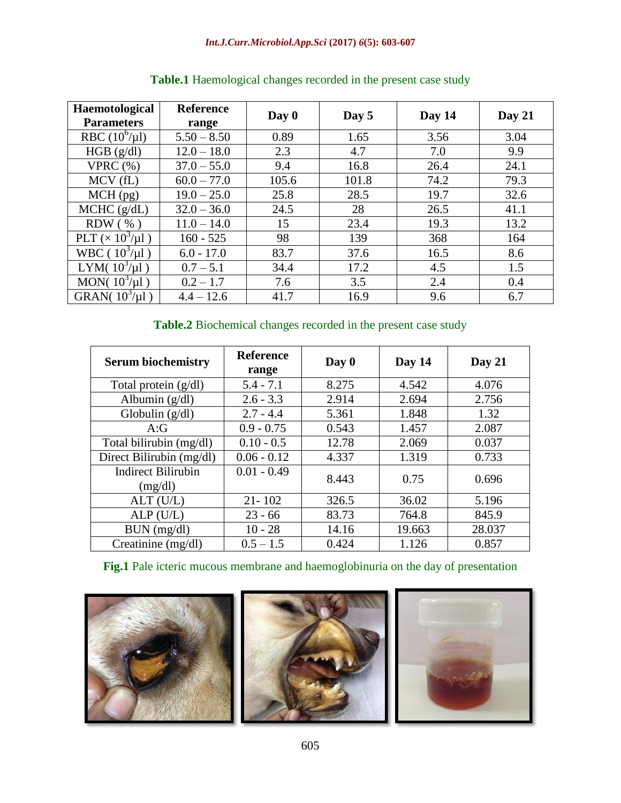| Haemotological<br><b>Parameters</b> | <b>Reference</b><br>range | Day 0 | Day 5 | Day 14 | Day 21 |
|-------------------------------------|---------------------------|-------|-------|--------|--------|
| RBC $(10^6/\mu l)$                  | $5.50 - 8.50$             | 0.89  | 1.65  | 3.56   | 3.04   |
| HGB (g/dl)                          | $12.0 - 18.0$             | 2.3   | 4.7   | 7.0    | 9.9    |
| VPRC $(\%)$                         | $37.0 - 55.0$             | 9.4   | 16.8  | 26.4   | 24.1   |
| $MCV$ (fL)                          | $60.0 - 77.0$             | 105.6 | 101.8 | 74.2   | 79.3   |
| $MCH$ (pg)                          | $19.0 - 25.0$             | 25.8  | 28.5  | 19.7   | 32.6   |
| MCHC (g/dL)                         | $32.0 - 36.0$             | 24.5  | 28    | 26.5   | 41.1   |
| $RDW$ (%)                           | $11.0 - 14.0$             | 15    | 23.4  | 19.3   | 13.2   |
| PLT $(\times 10^3/\mu l)$           | $160 - 525$               | 98    | 139   | 368    | 164    |
| WBC ( $10^3/\mu$ 1)                 | $6.0 - 17.0$              | 83.7  | 37.6  | 16.5   | 8.6    |
| LYM( $10^3/\mu$ l)                  | $0.7 - 5.1$               | 34.4  | 17.2  | 4.5    | 1.5    |
| MON( $10^3$ / $\mu$ l)              | $0.2 - 1.7$               | 7.6   | 3.5   | 2.4    | 0.4    |
| GRAN( $10^3$ / $\mu$ l)             | $4.4 - 12.6$              | 41.7  | 16.9  | 9.6    | 6.7    |

## **Table.1** Haemological changes recorded in the present case study

## **Table.2** Biochemical changes recorded in the present case study

| <b>Serum biochemistry</b>            | <b>Reference</b><br>range | Day 0 | Day 14 | Day $21$ |
|--------------------------------------|---------------------------|-------|--------|----------|
| Total protein $(g/dl)$               | $5.4 - 7.1$               | 8.275 | 4.542  | 4.076    |
| Albumin $(g/dl)$                     | $2.6 - 3.3$               | 2.914 | 2.694  | 2.756    |
| Globulin $(g/dl)$                    | $2.7 - 4.4$               | 5.361 | 1.848  | 1.32     |
| A:G                                  | $0.9 - 0.75$              | 0.543 | 1.457  | 2.087    |
| Total bilirubin (mg/dl)              | $0.10 - 0.5$              | 12.78 | 2.069  | 0.037    |
| Direct Bilirubin (mg/dl)             | $0.06 - 0.12$             | 4.337 | 1.319  | 0.733    |
| <b>Indirect Bilirubin</b><br>(mg/dl) | $0.01 - 0.49$             | 8.443 | 0.75   | 0.696    |
| ALT (U/L)                            | $21 - 102$                | 326.5 | 36.02  | 5.196    |
| ALP(U/L)                             | $23 - 66$                 | 83.73 | 764.8  | 845.9    |
| BUN (mg/dl)                          | $10 - 28$                 | 14.16 | 19.663 | 28.037   |
| Creatinine $(mg/dl)$                 | $0.5 - 1.5$               | 0.424 | 1.126  | 0.857    |

## **Fig.1** Pale icteric mucous membrane and haemoglobinuria on the day of presentation

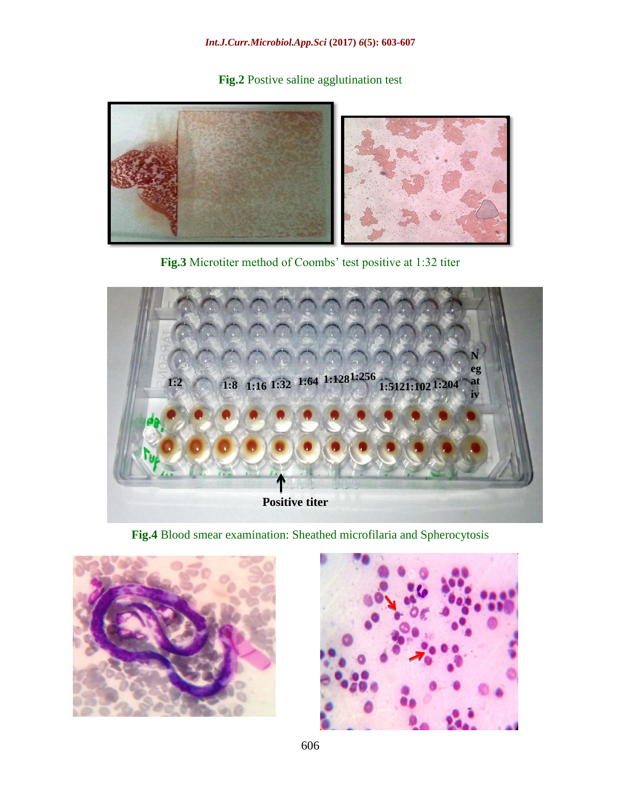**Fig.2** Postive saline agglutination test



**Fig.3** Microtiter method of Coombs' test positive at 1:32 titer



**Fig.4** Blood smear examination: Sheathed microfilaria and Spherocytosis